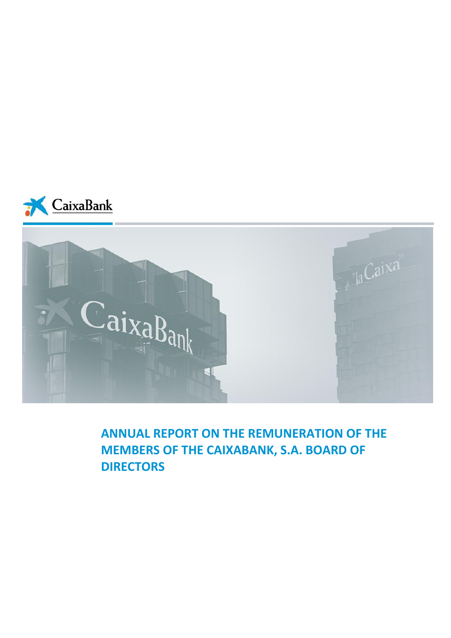



**ANNUAL REPORT ON THE REMUNERATION OF THE MEMBERS OF THE CAIXABANK, S.A. BOARD OF DIRECTORS**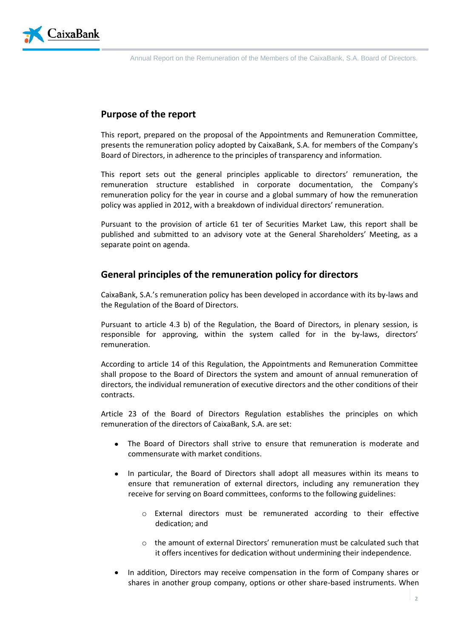

# **Purpose of the report**

This report, prepared on the proposal of the Appointments and Remuneration Committee, presents the remuneration policy adopted by CaixaBank, S.A. for members of the Company's Board of Directors, in adherence to the principles of transparency and information.

This report sets out the general principles applicable to directors' remuneration, the remuneration structure established in corporate documentation, the Company's remuneration policy for the year in course and a global summary of how the remuneration policy was applied in 2012, with a breakdown of individual directors' remuneration.

Pursuant to the provision of article 61 ter of Securities Market Law, this report shall be published and submitted to an advisory vote at the General Shareholders' Meeting, as a separate point on agenda.

# **General principles of the remuneration policy for directors**

CaixaBank, S.A.'s remuneration policy has been developed in accordance with its by-laws and the Regulation of the Board of Directors.

Pursuant to article 4.3 b) of the Regulation, the Board of Directors, in plenary session, is responsible for approving, within the system called for in the by-laws, directors' remuneration.

According to article 14 of this Regulation, the Appointments and Remuneration Committee shall propose to the Board of Directors the system and amount of annual remuneration of directors, the individual remuneration of executive directors and the other conditions of their contracts.

Article 23 of the Board of Directors Regulation establishes the principles on which remuneration of the directors of CaixaBank, S.A. are set:

- The Board of Directors shall strive to ensure that remuneration is moderate and commensurate with market conditions.
- In particular, the Board of Directors shall adopt all measures within its means to ensure that remuneration of external directors, including any remuneration they receive for serving on Board committees, conforms to the following guidelines:
	- o External directors must be remunerated according to their effective dedication; and
	- o the amount of external Directors' remuneration must be calculated such that it offers incentives for dedication without undermining their independence.
- In addition, Directors may receive compensation in the form of Company shares or shares in another group company, options or other share-based instruments. When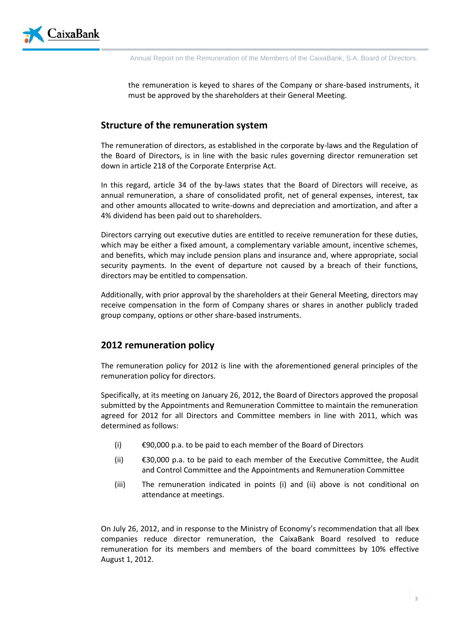

the remuneration is keyed to shares of the Company or share-based instruments, it must be approved by the shareholders at their General Meeting.

# **Structure of the remuneration system**

The remuneration of directors, as established in the corporate by-laws and the Regulation of the Board of Directors, is in line with the basic rules governing director remuneration set down in article 218 of the Corporate Enterprise Act.

In this regard, article 34 of the by-laws states that the Board of Directors will receive, as annual remuneration, a share of consolidated profit, net of general expenses, interest, tax and other amounts allocated to write-downs and depreciation and amortization, and after a 4% dividend has been paid out to shareholders.

Directors carrying out executive duties are entitled to receive remuneration for these duties, which may be either a fixed amount, a complementary variable amount, incentive schemes, and benefits, which may include pension plans and insurance and, where appropriate, social security payments. In the event of departure not caused by a breach of their functions, directors may be entitled to compensation.

Additionally, with prior approval by the shareholders at their General Meeting, directors may receive compensation in the form of Company shares or shares in another publicly traded group company, options or other share-based instruments.

# **2012 remuneration policy**

The remuneration policy for 2012 is line with the aforementioned general principles of the remuneration policy for directors.

Specifically, at its meeting on January 26, 2012, the Board of Directors approved the proposal submitted by the Appointments and Remuneration Committee to maintain the remuneration agreed for 2012 for all Directors and Committee members in line with 2011, which was determined as follows:

- (i)  $\epsilon$ 90,000 p.a. to be paid to each member of the Board of Directors
- (ii) €30,000 p.a. to be paid to each member of the Executive Committee, the Audit and Control Committee and the Appointments and Remuneration Committee
- (iii) The remuneration indicated in points (i) and (ii) above is not conditional on attendance at meetings.

On July 26, 2012, and in response to the Ministry of Economy's recommendation that all Ibex companies reduce director remuneration, the CaixaBank Board resolved to reduce remuneration for its members and members of the board committees by 10% effective August 1, 2012.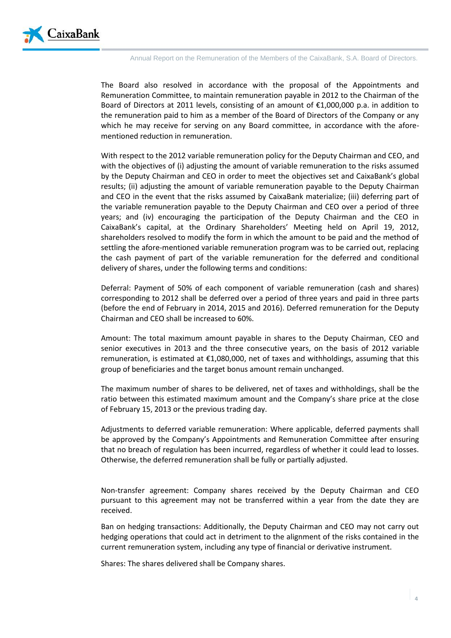

The Board also resolved in accordance with the proposal of the Appointments and Remuneration Committee, to maintain remuneration payable in 2012 to the Chairman of the Board of Directors at 2011 levels, consisting of an amount of  $\epsilon$ 1,000,000 p.a. in addition to the remuneration paid to him as a member of the Board of Directors of the Company or any which he may receive for serving on any Board committee, in accordance with the aforementioned reduction in remuneration.

With respect to the 2012 variable remuneration policy for the Deputy Chairman and CEO, and with the objectives of (i) adjusting the amount of variable remuneration to the risks assumed by the Deputy Chairman and CEO in order to meet the objectives set and CaixaBank's global results; (ii) adjusting the amount of variable remuneration payable to the Deputy Chairman and CEO in the event that the risks assumed by CaixaBank materialize; (iii) deferring part of the variable remuneration payable to the Deputy Chairman and CEO over a period of three years; and (iv) encouraging the participation of the Deputy Chairman and the CEO in CaixaBank's capital, at the Ordinary Shareholders' Meeting held on April 19, 2012, shareholders resolved to modify the form in which the amount to be paid and the method of settling the afore-mentioned variable remuneration program was to be carried out, replacing the cash payment of part of the variable remuneration for the deferred and conditional delivery of shares, under the following terms and conditions:

Deferral: Payment of 50% of each component of variable remuneration (cash and shares) corresponding to 2012 shall be deferred over a period of three years and paid in three parts (before the end of February in 2014, 2015 and 2016). Deferred remuneration for the Deputy Chairman and CEO shall be increased to 60%.

Amount: The total maximum amount payable in shares to the Deputy Chairman, CEO and senior executives in 2013 and the three consecutive years, on the basis of 2012 variable remuneration, is estimated at €1,080,000, net of taxes and withholdings, assuming that this group of beneficiaries and the target bonus amount remain unchanged.

The maximum number of shares to be delivered, net of taxes and withholdings, shall be the ratio between this estimated maximum amount and the Company's share price at the close of February 15, 2013 or the previous trading day.

Adjustments to deferred variable remuneration: Where applicable, deferred payments shall be approved by the Company's Appointments and Remuneration Committee after ensuring that no breach of regulation has been incurred, regardless of whether it could lead to losses. Otherwise, the deferred remuneration shall be fully or partially adjusted.

Non-transfer agreement: Company shares received by the Deputy Chairman and CEO pursuant to this agreement may not be transferred within a year from the date they are received.

Ban on hedging transactions: Additionally, the Deputy Chairman and CEO may not carry out hedging operations that could act in detriment to the alignment of the risks contained in the current remuneration system, including any type of financial or derivative instrument.

Shares: The shares delivered shall be Company shares.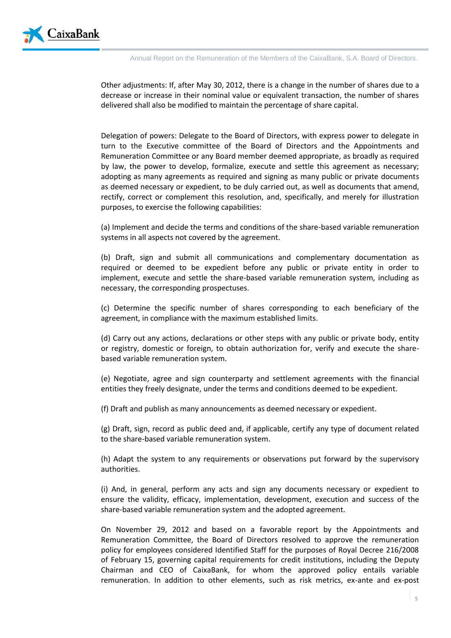

Other adjustments: If, after May 30, 2012, there is a change in the number of shares due to a decrease or increase in their nominal value or equivalent transaction, the number of shares delivered shall also be modified to maintain the percentage of share capital.

Delegation of powers: Delegate to the Board of Directors, with express power to delegate in turn to the Executive committee of the Board of Directors and the Appointments and Remuneration Committee or any Board member deemed appropriate, as broadly as required by law, the power to develop, formalize, execute and settle this agreement as necessary; adopting as many agreements as required and signing as many public or private documents as deemed necessary or expedient, to be duly carried out, as well as documents that amend, rectify, correct or complement this resolution, and, specifically, and merely for illustration purposes, to exercise the following capabilities:

(a) Implement and decide the terms and conditions of the share-based variable remuneration systems in all aspects not covered by the agreement.

(b) Draft, sign and submit all communications and complementary documentation as required or deemed to be expedient before any public or private entity in order to implement, execute and settle the share-based variable remuneration system, including as necessary, the corresponding prospectuses.

(c) Determine the specific number of shares corresponding to each beneficiary of the agreement, in compliance with the maximum established limits.

(d) Carry out any actions, declarations or other steps with any public or private body, entity or registry, domestic or foreign, to obtain authorization for, verify and execute the sharebased variable remuneration system.

(e) Negotiate, agree and sign counterparty and settlement agreements with the financial entities they freely designate, under the terms and conditions deemed to be expedient.

(f) Draft and publish as many announcements as deemed necessary or expedient.

(g) Draft, sign, record as public deed and, if applicable, certify any type of document related to the share-based variable remuneration system.

(h) Adapt the system to any requirements or observations put forward by the supervisory authorities.

(i) And, in general, perform any acts and sign any documents necessary or expedient to ensure the validity, efficacy, implementation, development, execution and success of the share-based variable remuneration system and the adopted agreement.

On November 29, 2012 and based on a favorable report by the Appointments and Remuneration Committee, the Board of Directors resolved to approve the remuneration policy for employees considered Identified Staff for the purposes of Royal Decree 216/2008 of February 15, governing capital requirements for credit institutions, including the Deputy Chairman and CEO of CaixaBank, for whom the approved policy entails variable remuneration. In addition to other elements, such as risk metrics, ex-ante and ex-post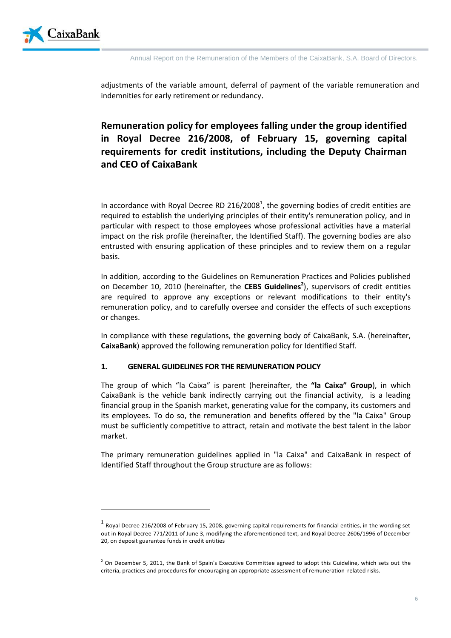

 $\overline{\phantom{a}}$ 

adjustments of the variable amount, deferral of payment of the variable remuneration and indemnities for early retirement or redundancy.

# **Remuneration policy for employees falling under the group identified in Royal Decree 216/2008, of February 15, governing capital requirements for credit institutions, including the Deputy Chairman and CEO of CaixaBank**

In accordance with Royal Decree RD 216/2008<sup>1</sup>, the governing bodies of credit entities are required to establish the underlying principles of their entity's remuneration policy, and in particular with respect to those employees whose professional activities have a material impact on the risk profile (hereinafter, the Identified Staff). The governing bodies are also entrusted with ensuring application of these principles and to review them on a regular basis.

In addition, according to the Guidelines on Remuneration Practices and Policies published on December 10, 2010 (hereinafter, the **CEBS Guidelines<sup>2</sup>** ), supervisors of credit entities are required to approve any exceptions or relevant modifications to their entity's remuneration policy, and to carefully oversee and consider the effects of such exceptions or changes.

In compliance with these regulations, the governing body of CaixaBank, S.A. (hereinafter, **CaixaBank**) approved the following remuneration policy for Identified Staff.

#### **1. GENERAL GUIDELINES FOR THE REMUNERATION POLICY**

The group of which "la Caixa" is parent (hereinafter, the **"la Caixa" Group**), in which CaixaBank is the vehicle bank indirectly carrying out the financial activity, is a leading financial group in the Spanish market, generating value for the company, its customers and its employees. To do so, the remuneration and benefits offered by the "la Caixa" Group must be sufficiently competitive to attract, retain and motivate the best talent in the labor market.

The primary remuneration guidelines applied in "la Caixa" and CaixaBank in respect of Identified Staff throughout the Group structure are as follows:

 $^{\rm 1}$  Royal Decree 216/2008 of February 15, 2008, governing capital requirements for financial entities, in the wording set out in Royal Decree 771/2011 of June 3, modifying the aforementioned text, and Royal Decree 2606/1996 of December 20, on deposit guarantee funds in credit entities

 $<sup>2</sup>$  On December 5, 2011, the Bank of Spain's Executive Committee agreed to adopt this Guideline, which sets out the</sup> criteria, practices and procedures for encouraging an appropriate assessment of remuneration-related risks.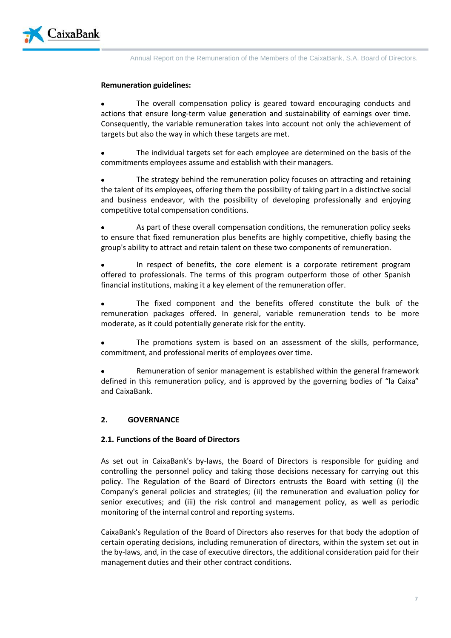

### **Remuneration guidelines:**

The overall compensation policy is geared toward encouraging conducts and actions that ensure long-term value generation and sustainability of earnings over time. Consequently, the variable remuneration takes into account not only the achievement of targets but also the way in which these targets are met.

The individual targets set for each employee are determined on the basis of the commitments employees assume and establish with their managers.

The strategy behind the remuneration policy focuses on attracting and retaining the talent of its employees, offering them the possibility of taking part in a distinctive social and business endeavor, with the possibility of developing professionally and enjoying competitive total compensation conditions.

As part of these overall compensation conditions, the remuneration policy seeks to ensure that fixed remuneration plus benefits are highly competitive, chiefly basing the group's ability to attract and retain talent on these two components of remuneration.

In respect of benefits, the core element is a corporate retirement program offered to professionals. The terms of this program outperform those of other Spanish financial institutions, making it a key element of the remuneration offer.

The fixed component and the benefits offered constitute the bulk of the remuneration packages offered. In general, variable remuneration tends to be more moderate, as it could potentially generate risk for the entity.

The promotions system is based on an assessment of the skills, performance, commitment, and professional merits of employees over time.

Remuneration of senior management is established within the general framework defined in this remuneration policy, and is approved by the governing bodies of "la Caixa" and CaixaBank.

# **2. GOVERNANCE**

#### **2.1. Functions of the Board of Directors**

As set out in CaixaBank's by-laws, the Board of Directors is responsible for guiding and controlling the personnel policy and taking those decisions necessary for carrying out this policy. The Regulation of the Board of Directors entrusts the Board with setting (i) the Company's general policies and strategies; (ii) the remuneration and evaluation policy for senior executives; and (iii) the risk control and management policy, as well as periodic monitoring of the internal control and reporting systems.

CaixaBank's Regulation of the Board of Directors also reserves for that body the adoption of certain operating decisions, including remuneration of directors, within the system set out in the by-laws, and, in the case of executive directors, the additional consideration paid for their management duties and their other contract conditions.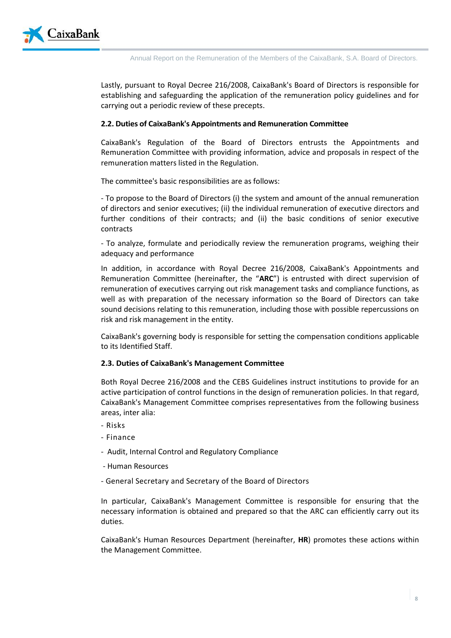

Lastly, pursuant to Royal Decree 216/2008, CaixaBank's Board of Directors is responsible for establishing and safeguarding the application of the remuneration policy guidelines and for carrying out a periodic review of these precepts.

#### **2.2. Duties of CaixaBank's Appointments and Remuneration Committee**

CaixaBank's Regulation of the Board of Directors entrusts the Appointments and Remuneration Committee with providing information, advice and proposals in respect of the remuneration matters listed in the Regulation.

The committee's basic responsibilities are as follows:

- To propose to the Board of Directors (i) the system and amount of the annual remuneration of directors and senior executives; (ii) the individual remuneration of executive directors and further conditions of their contracts; and (ii) the basic conditions of senior executive contracts

- To analyze, formulate and periodically review the remuneration programs, weighing their adequacy and performance

In addition, in accordance with Royal Decree 216/2008, CaixaBank's Appointments and Remuneration Committee (hereinafter, the "**ARC**") is entrusted with direct supervision of remuneration of executives carrying out risk management tasks and compliance functions, as well as with preparation of the necessary information so the Board of Directors can take sound decisions relating to this remuneration, including those with possible repercussions on risk and risk management in the entity.

CaixaBank's governing body is responsible for setting the compensation conditions applicable to its Identified Staff.

#### **2.3. Duties of CaixaBank's Management Committee**

Both Royal Decree 216/2008 and the CEBS Guidelines instruct institutions to provide for an active participation of control functions in the design of remuneration policies. In that regard, CaixaBank's Management Committee comprises representatives from the following business areas, inter alia:

- Risks
- Finance
- Audit, Internal Control and Regulatory Compliance
- Human Resources
- General Secretary and Secretary of the Board of Directors

In particular, CaixaBank's Management Committee is responsible for ensuring that the necessary information is obtained and prepared so that the ARC can efficiently carry out its duties.

CaixaBank's Human Resources Department (hereinafter, **HR**) promotes these actions within the Management Committee.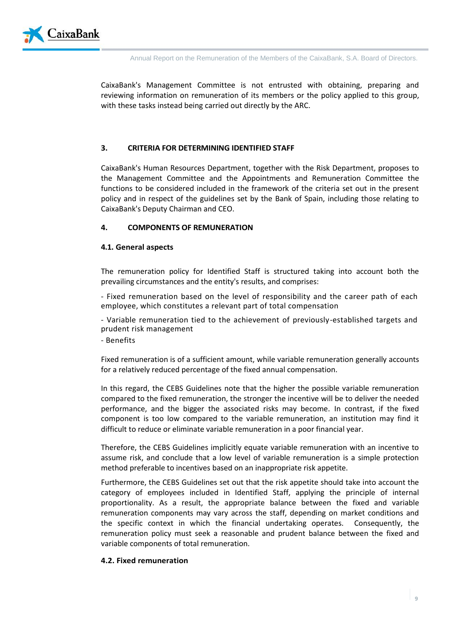

CaixaBank's Management Committee is not entrusted with obtaining, preparing and reviewing information on remuneration of its members or the policy applied to this group, with these tasks instead being carried out directly by the ARC.

# **3. CRITERIA FOR DETERMINING IDENTIFIED STAFF**

CaixaBank's Human Resources Department, together with the Risk Department, proposes to the Management Committee and the Appointments and Remuneration Committee the functions to be considered included in the framework of the criteria set out in the present policy and in respect of the guidelines set by the Bank of Spain, including those relating to CaixaBank's Deputy Chairman and CEO.

# **4. COMPONENTS OF REMUNERATION**

# **4.1. General aspects**

The remuneration policy for Identified Staff is structured taking into account both the prevailing circumstances and the entity's results, and comprises:

- Fixed remuneration based on the level of responsibility and the career path of each employee, which constitutes a relevant part of total compensation

- Variable remuneration tied to the achievement of previously-established targets and prudent risk management

- Benefits

Fixed remuneration is of a sufficient amount, while variable remuneration generally accounts for a relatively reduced percentage of the fixed annual compensation.

In this regard, the CEBS Guidelines note that the higher the possible variable remuneration compared to the fixed remuneration, the stronger the incentive will be to deliver the needed performance, and the bigger the associated risks may become. In contrast, if the fixed component is too low compared to the variable remuneration, an institution may find it difficult to reduce or eliminate variable remuneration in a poor financial year.

Therefore, the CEBS Guidelines implicitly equate variable remuneration with an incentive to assume risk, and conclude that a low level of variable remuneration is a simple protection method preferable to incentives based on an inappropriate risk appetite.

Furthermore, the CEBS Guidelines set out that the risk appetite should take into account the category of employees included in Identified Staff, applying the principle of internal proportionality. As a result, the appropriate balance between the fixed and variable remuneration components may vary across the staff, depending on market conditions and the specific context in which the financial undertaking operates. Consequently, the remuneration policy must seek a reasonable and prudent balance between the fixed and variable components of total remuneration.

# **4.2. Fixed remuneration**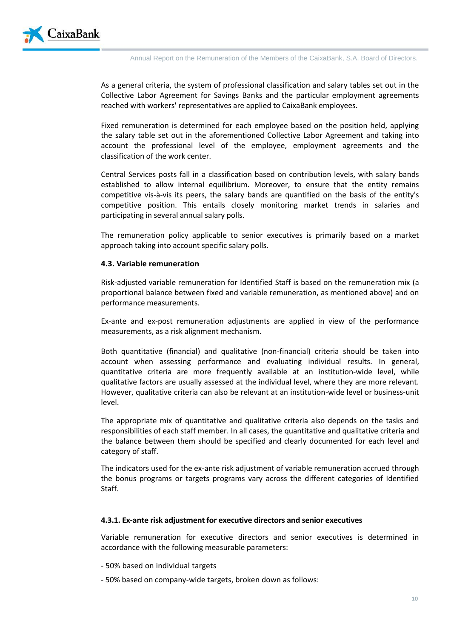

As a general criteria, the system of professional classification and salary tables set out in the Collective Labor Agreement for Savings Banks and the particular employment agreements reached with workers' representatives are applied to CaixaBank employees.

Fixed remuneration is determined for each employee based on the position held, applying the salary table set out in the aforementioned Collective Labor Agreement and taking into account the professional level of the employee, employment agreements and the classification of the work center.

Central Services posts fall in a classification based on contribution levels, with salary bands established to allow internal equilibrium. Moreover, to ensure that the entity remains competitive vis-à-vis its peers, the salary bands are quantified on the basis of the entity's competitive position. This entails closely monitoring market trends in salaries and participating in several annual salary polls.

The remuneration policy applicable to senior executives is primarily based on a market approach taking into account specific salary polls.

#### **4.3. Variable remuneration**

Risk-adjusted variable remuneration for Identified Staff is based on the remuneration mix (a proportional balance between fixed and variable remuneration, as mentioned above) and on performance measurements.

Ex-ante and ex-post remuneration adjustments are applied in view of the performance measurements, as a risk alignment mechanism.

Both quantitative (financial) and qualitative (non-financial) criteria should be taken into account when assessing performance and evaluating individual results. In general, quantitative criteria are more frequently available at an institution-wide level, while qualitative factors are usually assessed at the individual level, where they are more relevant. However, qualitative criteria can also be relevant at an institution-wide level or business-unit level.

The appropriate mix of quantitative and qualitative criteria also depends on the tasks and responsibilities of each staff member. In all cases, the quantitative and qualitative criteria and the balance between them should be specified and clearly documented for each level and category of staff.

The indicators used for the ex-ante risk adjustment of variable remuneration accrued through the bonus programs or targets programs vary across the different categories of Identified Staff.

#### **4.3.1. Ex-ante risk adjustment for executive directors and senior executives**

Variable remuneration for executive directors and senior executives is determined in accordance with the following measurable parameters:

- 50% based on individual targets
- 50% based on company-wide targets, broken down as follows: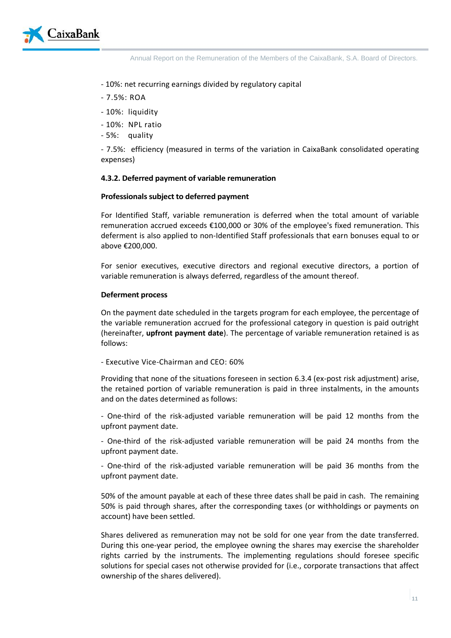

- 10%: net recurring earnings divided by regulatory capital
- 7.5%: ROA
- 10%: liquidity
- 10%: NPL ratio
- 5%: quality

- 7.5%: efficiency (measured in terms of the variation in CaixaBank consolidated operating expenses)

# **4.3.2. Deferred payment of variable remuneration**

# **Professionals subject to deferred payment**

For Identified Staff, variable remuneration is deferred when the total amount of variable remuneration accrued exceeds €100,000 or 30% of the employee's fixed remuneration. This deferment is also applied to non-Identified Staff professionals that earn bonuses equal to or above €200,000.

For senior executives, executive directors and regional executive directors, a portion of variable remuneration is always deferred, regardless of the amount thereof.

# **Deferment process**

On the payment date scheduled in the targets program for each employee, the percentage of the variable remuneration accrued for the professional category in question is paid outright (hereinafter, **upfront payment date**). The percentage of variable remuneration retained is as follows:

- Executive Vice-Chairman and CEO: 60%

Providing that none of the situations foreseen in section 6.3.4 (ex-post risk adjustment) arise, the retained portion of variable remuneration is paid in three instalments, in the amounts and on the dates determined as follows:

- One-third of the risk-adjusted variable remuneration will be paid 12 months from the upfront payment date.

- One-third of the risk-adjusted variable remuneration will be paid 24 months from the upfront payment date.

- One-third of the risk-adjusted variable remuneration will be paid 36 months from the upfront payment date.

50% of the amount payable at each of these three dates shall be paid in cash. The remaining 50% is paid through shares, after the corresponding taxes (or withholdings or payments on account) have been settled.

Shares delivered as remuneration may not be sold for one year from the date transferred. During this one-year period, the employee owning the shares may exercise the shareholder rights carried by the instruments. The implementing regulations should foresee specific solutions for special cases not otherwise provided for (i.e., corporate transactions that affect ownership of the shares delivered).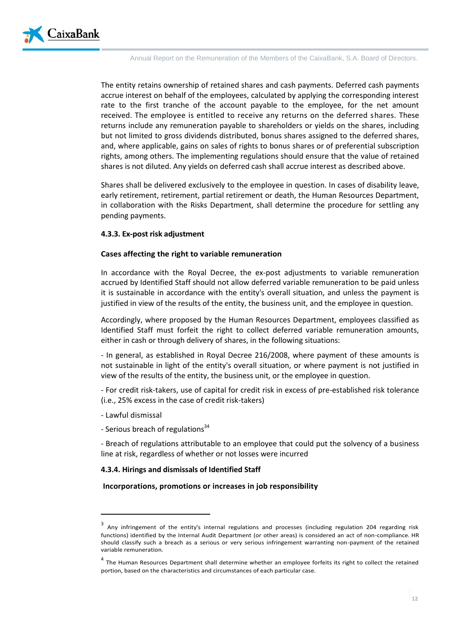

The entity retains ownership of retained shares and cash payments. Deferred cash payments accrue interest on behalf of the employees, calculated by applying the corresponding interest rate to the first tranche of the account payable to the employee, for the net amount received. The employee is entitled to receive any returns on the deferred shares. These returns include any remuneration payable to shareholders or yields on the shares, including but not limited to gross dividends distributed, bonus shares assigned to the deferred shares, and, where applicable, gains on sales of rights to bonus shares or of preferential subscription rights, among others. The implementing regulations should ensure that the value of retained shares is not diluted. Any yields on deferred cash shall accrue interest as described above.

Shares shall be delivered exclusively to the employee in question. In cases of disability leave, early retirement, retirement, partial retirement or death, the Human Resources Department, in collaboration with the Risks Department, shall determine the procedure for settling any pending payments.

#### **4.3.3. Ex-post risk adjustment**

#### **Cases affecting the right to variable remuneration**

In accordance with the Royal Decree, the ex-post adjustments to variable remuneration accrued by Identified Staff should not allow deferred variable remuneration to be paid unless it is sustainable in accordance with the entity's overall situation, and unless the payment is justified in view of the results of the entity, the business unit, and the employee in question.

Accordingly, where proposed by the Human Resources Department, employees classified as Identified Staff must forfeit the right to collect deferred variable remuneration amounts, either in cash or through delivery of shares, in the following situations:

- In general, as established in Royal Decree 216/2008, where payment of these amounts is not sustainable in light of the entity's overall situation, or where payment is not justified in view of the results of the entity, the business unit, or the employee in question.

- For credit risk-takers, use of capital for credit risk in excess of pre-established risk tolerance (i.e., 25% excess in the case of credit risk-takers)

- Lawful dismissal

 $\overline{a}$ 

- Serious breach of regulations<sup>34</sup>

- Breach of regulations attributable to an employee that could put the solvency of a business line at risk, regardless of whether or not losses were incurred

#### **4.3.4. Hirings and dismissals of Identified Staff**

#### **Incorporations, promotions or increases in job responsibility**

<sup>&</sup>lt;sup>3</sup> Any infringement of the entity's internal regulations and processes (including regulation 204 regarding risk functions) identified by the Internal Audit Department (or other areas) is considered an act of non-compliance. HR should classify such a breach as a serious or very serious infringement warranting non-payment of the retained variable remuneration.

<sup>&</sup>lt;sup>4</sup> The Human Resources Department shall determine whether an employee forfeits its right to collect the retained portion, based on the characteristics and circumstances of each particular case.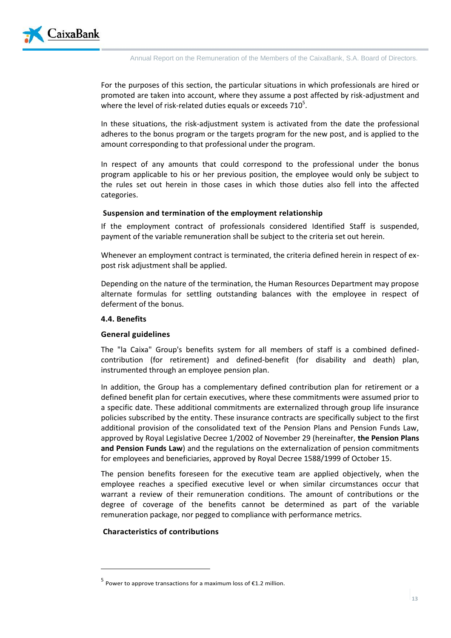For the purposes of this section, the particular situations in which professionals are hired or promoted are taken into account, where they assume a post affected by risk-adjustment and where the level of risk-related duties equals or exceeds 710 $^5$ .

In these situations, the risk-adjustment system is activated from the date the professional adheres to the bonus program or the targets program for the new post, and is applied to the amount corresponding to that professional under the program.

In respect of any amounts that could correspond to the professional under the bonus program applicable to his or her previous position, the employee would only be subject to the rules set out herein in those cases in which those duties also fell into the affected categories.

#### **Suspension and termination of the employment relationship**

If the employment contract of professionals considered Identified Staff is suspended, payment of the variable remuneration shall be subject to the criteria set out herein.

Whenever an employment contract is terminated, the criteria defined herein in respect of expost risk adjustment shall be applied.

Depending on the nature of the termination, the Human Resources Department may propose alternate formulas for settling outstanding balances with the employee in respect of deferment of the bonus.

#### **4.4. Benefits**

#### **General guidelines**

The "la Caixa" Group's benefits system for all members of staff is a combined definedcontribution (for retirement) and defined-benefit (for disability and death) plan, instrumented through an employee pension plan.

In addition, the Group has a complementary defined contribution plan for retirement or a defined benefit plan for certain executives, where these commitments were assumed prior to a specific date. These additional commitments are externalized through group life insurance policies subscribed by the entity. These insurance contracts are specifically subject to the first additional provision of the consolidated text of the Pension Plans and Pension Funds Law, approved by Royal Legislative Decree 1/2002 of November 29 (hereinafter, **the Pension Plans and Pension Funds Law**) and the regulations on the externalization of pension commitments for employees and beneficiaries, approved by Royal Decree 1588/1999 of October 15.

The pension benefits foreseen for the executive team are applied objectively, when the employee reaches a specified executive level or when similar circumstances occur that warrant a review of their remuneration conditions. The amount of contributions or the degree of coverage of the benefits cannot be determined as part of the variable remuneration package, nor pegged to compliance with performance metrics.

#### **Characteristics of contributions**

 $\overline{a}$ 

<sup>&</sup>lt;sup>5</sup> Power to approve transactions for a maximum loss of €1.2 million.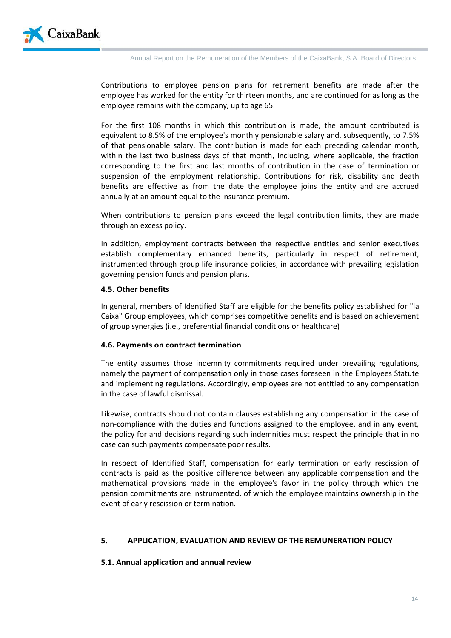

Contributions to employee pension plans for retirement benefits are made after the employee has worked for the entity for thirteen months, and are continued for as long as the employee remains with the company, up to age 65.

For the first 108 months in which this contribution is made, the amount contributed is equivalent to 8.5% of the employee's monthly pensionable salary and, subsequently, to 7.5% of that pensionable salary. The contribution is made for each preceding calendar month, within the last two business days of that month, including, where applicable, the fraction corresponding to the first and last months of contribution in the case of termination or suspension of the employment relationship. Contributions for risk, disability and death benefits are effective as from the date the employee joins the entity and are accrued annually at an amount equal to the insurance premium.

When contributions to pension plans exceed the legal contribution limits, they are made through an excess policy.

In addition, employment contracts between the respective entities and senior executives establish complementary enhanced benefits, particularly in respect of retirement, instrumented through group life insurance policies, in accordance with prevailing legislation governing pension funds and pension plans.

#### **4.5. Other benefits**

In general, members of Identified Staff are eligible for the benefits policy established for "la Caixa" Group employees, which comprises competitive benefits and is based on achievement of group synergies (i.e., preferential financial conditions or healthcare)

#### **4.6. Payments on contract termination**

The entity assumes those indemnity commitments required under prevailing regulations, namely the payment of compensation only in those cases foreseen in the Employees Statute and implementing regulations. Accordingly, employees are not entitled to any compensation in the case of lawful dismissal.

Likewise, contracts should not contain clauses establishing any compensation in the case of non-compliance with the duties and functions assigned to the employee, and in any event, the policy for and decisions regarding such indemnities must respect the principle that in no case can such payments compensate poor results.

In respect of Identified Staff, compensation for early termination or early rescission of contracts is paid as the positive difference between any applicable compensation and the mathematical provisions made in the employee's favor in the policy through which the pension commitments are instrumented, of which the employee maintains ownership in the event of early rescission or termination.

# **5. APPLICATION, EVALUATION AND REVIEW OF THE REMUNERATION POLICY**

#### **5.1. Annual application and annual review**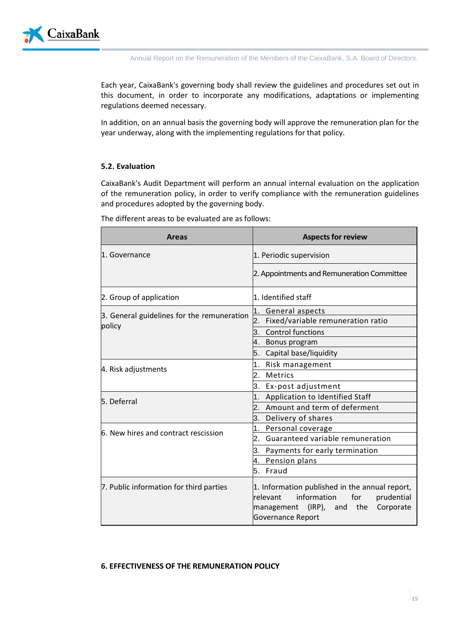

Each year, CaixaBank's governing body shall review the guidelines and procedures set out in this document, in order to incorporate any modifications, adaptations or implementing regulations deemed necessary.

In addition, on an annual basis the governing body will approve the remuneration plan for the year underway, along with the implementing regulations for that policy.

# **5.2. Evaluation**

CaixaBank's Audit Department will perform an annual internal evaluation on the application of the remuneration policy, in order to verify compliance with the remuneration guidelines and procedures adopted by the governing body.

The different areas to be evaluated are as follows:

| Areas                                                | <b>Aspects for review</b>                                                                                                                                              |  |  |
|------------------------------------------------------|------------------------------------------------------------------------------------------------------------------------------------------------------------------------|--|--|
| 1. Governance                                        | 1. Periodic supervision                                                                                                                                                |  |  |
|                                                      | 2. Appointments and Remuneration Committee                                                                                                                             |  |  |
| 2. Group of application                              | 1. Identified staff                                                                                                                                                    |  |  |
| 3. General guidelines for the remuneration<br>policy | 1. General aspects                                                                                                                                                     |  |  |
|                                                      | 2.<br>Fixed/variable remuneration ratio                                                                                                                                |  |  |
|                                                      | <b>Control functions</b><br>3.                                                                                                                                         |  |  |
|                                                      | Bonus program                                                                                                                                                          |  |  |
|                                                      | Capital base/liquidity<br>5.                                                                                                                                           |  |  |
| 4. Risk adjustments                                  | Risk management<br>1.                                                                                                                                                  |  |  |
|                                                      | Metrics<br>2.                                                                                                                                                          |  |  |
|                                                      | 3. Ex-post adjustment                                                                                                                                                  |  |  |
| 5. Deferral                                          | Application to Identified Staff<br>1 <sub>1</sub>                                                                                                                      |  |  |
|                                                      | Amount and term of deferment                                                                                                                                           |  |  |
|                                                      | 3. Delivery of shares                                                                                                                                                  |  |  |
| 6. New hires and contract rescission                 | 1. Personal coverage                                                                                                                                                   |  |  |
|                                                      | Guaranteed variable remuneration<br>2.                                                                                                                                 |  |  |
|                                                      | 3. Payments for early termination                                                                                                                                      |  |  |
|                                                      | Pension plans<br>4.                                                                                                                                                    |  |  |
|                                                      | 5. Fraud                                                                                                                                                               |  |  |
| 7. Public information for third parties              | 1. Information published in the annual report,<br>information<br>relevant<br>for<br>prudential<br>$(IRP)$ , and<br>the<br>Corporate<br>management<br>Governance Report |  |  |

#### **6. EFFECTIVENESS OF THE REMUNERATION POLICY**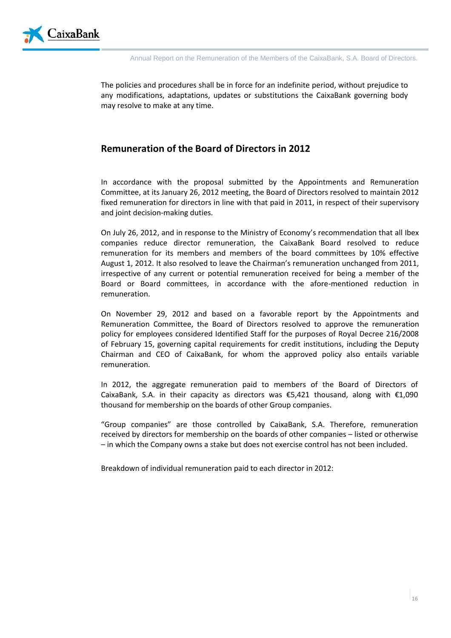

The policies and procedures shall be in force for an indefinite period, without prejudice to any modifications, adaptations, updates or substitutions the CaixaBank governing body may resolve to make at any time.

# **Remuneration of the Board of Directors in 2012**

In accordance with the proposal submitted by the Appointments and Remuneration Committee, at its January 26, 2012 meeting, the Board of Directors resolved to maintain 2012 fixed remuneration for directors in line with that paid in 2011, in respect of their supervisory and joint decision-making duties.

On July 26, 2012, and in response to the Ministry of Economy's recommendation that all Ibex companies reduce director remuneration, the CaixaBank Board resolved to reduce remuneration for its members and members of the board committees by 10% effective August 1, 2012. It also resolved to leave the Chairman's remuneration unchanged from 2011, irrespective of any current or potential remuneration received for being a member of the Board or Board committees, in accordance with the afore-mentioned reduction in remuneration.

On November 29, 2012 and based on a favorable report by the Appointments and Remuneration Committee, the Board of Directors resolved to approve the remuneration policy for employees considered Identified Staff for the purposes of Royal Decree 216/2008 of February 15, governing capital requirements for credit institutions, including the Deputy Chairman and CEO of CaixaBank, for whom the approved policy also entails variable remuneration.

In 2012, the aggregate remuneration paid to members of the Board of Directors of CaixaBank, S.A. in their capacity as directors was  $\epsilon$ 5,421 thousand, along with  $\epsilon$ 1,090 thousand for membership on the boards of other Group companies.

"Group companies" are those controlled by CaixaBank, S.A. Therefore, remuneration received by directors for membership on the boards of other companies – listed or otherwise – in which the Company owns a stake but does not exercise control has not been included.

Breakdown of individual remuneration paid to each director in 2012: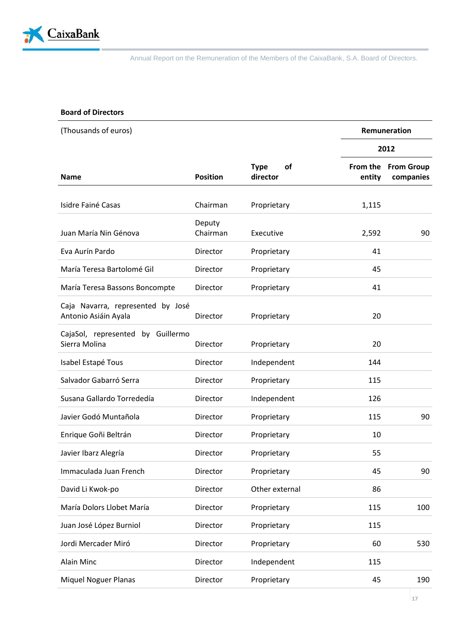

# **Board of Directors**

| (Thousands of euros)                                      |                    |                               | Remuneration       |                                |
|-----------------------------------------------------------|--------------------|-------------------------------|--------------------|--------------------------------|
|                                                           |                    |                               | 2012               |                                |
| <b>Name</b>                                               | <b>Position</b>    | <b>Type</b><br>οf<br>director | From the<br>entity | <b>From Group</b><br>companies |
| Isidre Fainé Casas                                        | Chairman           | Proprietary                   | 1,115              |                                |
| Juan María Nin Génova                                     | Deputy<br>Chairman | Executive                     | 2,592              | 90                             |
| Eva Aurín Pardo                                           | Director           | Proprietary                   | 41                 |                                |
| María Teresa Bartolomé Gil                                | Director           | Proprietary                   | 45                 |                                |
| María Teresa Bassons Boncompte                            | Director           | Proprietary                   | 41                 |                                |
| Caja Navarra, represented by José<br>Antonio Asiáin Ayala | Director           | Proprietary                   | 20                 |                                |
| CajaSol, represented by Guillermo<br>Sierra Molina        | Director           | Proprietary                   | 20                 |                                |
| Isabel Estapé Tous                                        | Director           | Independent                   | 144                |                                |
| Salvador Gabarró Serra                                    | Director           | Proprietary                   | 115                |                                |
| Susana Gallardo Torrededía                                | Director           | Independent                   | 126                |                                |
| Javier Godó Muntañola                                     | Director           | Proprietary                   | 115                | 90                             |
| Enrique Goñi Beltrán                                      | Director           | Proprietary                   | 10                 |                                |
| Javier Ibarz Alegría                                      | Director           | Proprietary                   | 55                 |                                |
| Immaculada Juan French                                    | Director           | Proprietary                   | 45                 | 90                             |
| David Li Kwok-po                                          | Director           | Other external                | 86                 |                                |
| María Dolors Llobet María                                 | Director           | Proprietary                   | 115                | 100                            |
| Juan José López Burniol                                   | Director           | Proprietary                   | 115                |                                |
| Jordi Mercader Miró                                       | Director           | Proprietary                   | 60                 | 530                            |
| Alain Minc                                                | Director           | Independent                   | 115                |                                |
| <b>Miquel Noguer Planas</b>                               | Director           | Proprietary                   | 45                 | 190                            |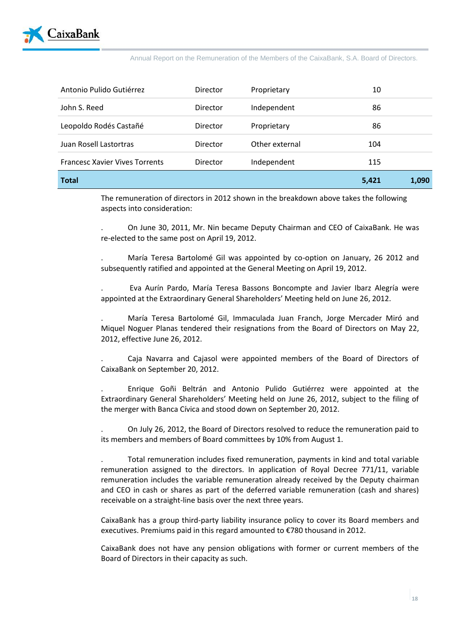

| <b>Total</b>                          |          |                | 5,421 | 1,090 |
|---------------------------------------|----------|----------------|-------|-------|
| <b>Francesc Xavier Vives Torrents</b> | Director | Independent    | 115   |       |
| Juan Rosell Lastortras                | Director | Other external | 104   |       |
| Leopoldo Rodés Castañé                | Director | Proprietary    | 86    |       |
| John S. Reed                          | Director | Independent    | 86    |       |
| Antonio Pulido Gutiérrez              | Director | Proprietary    | 10    |       |

The remuneration of directors in 2012 shown in the breakdown above takes the following aspects into consideration:

. On June 30, 2011, Mr. Nin became Deputy Chairman and CEO of CaixaBank. He was re-elected to the same post on April 19, 2012.

. María Teresa Bartolomé Gil was appointed by co-option on January, 26 2012 and subsequently ratified and appointed at the General Meeting on April 19, 2012.

. Eva Aurín Pardo, María Teresa Bassons Boncompte and Javier Ibarz Alegría were appointed at the Extraordinary General Shareholders' Meeting held on June 26, 2012.

. María Teresa Bartolomé Gil, Immaculada Juan Franch, Jorge Mercader Miró and Miquel Noguer Planas tendered their resignations from the Board of Directors on May 22, 2012, effective June 26, 2012.

. Caja Navarra and Cajasol were appointed members of the Board of Directors of CaixaBank on September 20, 2012.

. Enrique Goñi Beltrán and Antonio Pulido Gutiérrez were appointed at the Extraordinary General Shareholders' Meeting held on June 26, 2012, subject to the filing of the merger with Banca Cívica and stood down on September 20, 2012.

. On July 26, 2012, the Board of Directors resolved to reduce the remuneration paid to its members and members of Board committees by 10% from August 1.

. Total remuneration includes fixed remuneration, payments in kind and total variable remuneration assigned to the directors. In application of Royal Decree 771/11, variable remuneration includes the variable remuneration already received by the Deputy chairman and CEO in cash or shares as part of the deferred variable remuneration (cash and shares) receivable on a straight-line basis over the next three years.

CaixaBank has a group third-party liability insurance policy to cover its Board members and executives. Premiums paid in this regard amounted to €780 thousand in 2012.

CaixaBank does not have any pension obligations with former or current members of the Board of Directors in their capacity as such.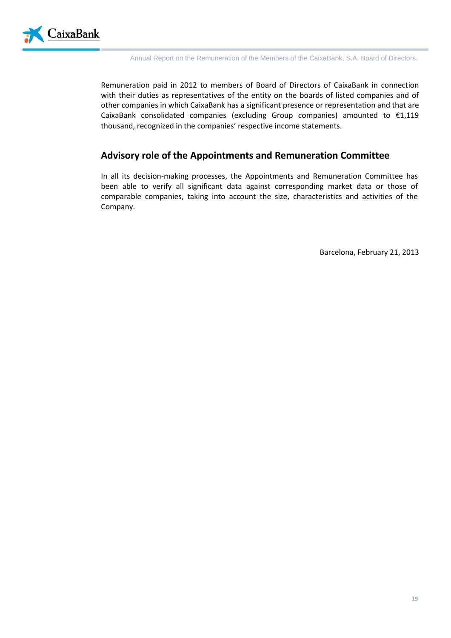

Remuneration paid in 2012 to members of Board of Directors of CaixaBank in connection with their duties as representatives of the entity on the boards of listed companies and of other companies in which CaixaBank has a significant presence or representation and that are CaixaBank consolidated companies (excluding Group companies) amounted to €1,119 thousand, recognized in the companies' respective income statements.

# **Advisory role of the Appointments and Remuneration Committee**

In all its decision-making processes, the Appointments and Remuneration Committee has been able to verify all significant data against corresponding market data or those of comparable companies, taking into account the size, characteristics and activities of the Company.

Barcelona, February 21, 2013